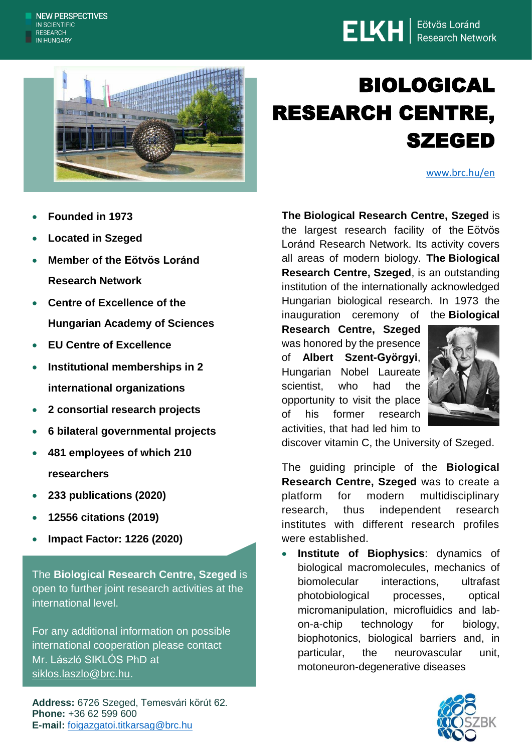## **ELKH** | Eötvös Loránd



## BIOLOGICAL RESEARCH CENTRE, SZEGED

[www.brc.hu/en](http://www.brc.hu/en)

- **Founded in 1973**
- **Located in Szeged**
- **Member of the [Eötvös Loránd](https://elkh.org/en/)  [Research Network](https://elkh.org/en/)**
- **Centre of Excellence of the Hungarian Academy of Sciences**
- **EU Centre of Excellence**
- **Institutional memberships in 2 international organizations**
- **2 consortial research projects**
- **6 bilateral governmental projects**
- **481 employees of which 210 researchers**
- **233 publications (2020)**
- **12556 citations (2019)**
- **Impact Factor: 1226 (2020)**

The **Biological Research Centre, Szeged** is open to further joint research activities at the international level.

For any additional information on possible international cooperation please contact Mr. László SIKLÓS PhD at [siklos.laszlo@brc.hu.](mailto:siklos.laszlo@brc.hu)

**Address:** 6726 Szeged, Temesvári körút 62. **Phone:** +36 62 599 600 **E-mail:** [foigazgatoi.titkarsag@brc.hu](mailto:foigazgatoi.titkarsag@brc.hu)

**The Biological Research Centre, Szeged** is the largest research facility of the Eötvös Loránd Research Network. Its activity covers all areas of modern biology. **The Biological Research Centre, Szeged**, is an outstanding institution of the internationally acknowledged Hungarian biological research. In 1973 the inauguration ceremony of the **Biological**

**Research Centre, Szeged**  was honored by the presence of **Albert Szent-Györgyi**, Hungarian Nobel Laureate scientist, who had the opportunity to visit the place of his former research activities, that had led him to



discover vitamin C, the University of Szeged.

The guiding principle of the **Biological Research Centre, Szeged** was to create a platform for modern multidisciplinary research, thus independent research institutes with different research profiles were established.

 **Institute of Biophysics**: dynamics of biological macromolecules, mechanics of biomolecular interactions, ultrafast photobiological processes, optical micromanipulation, microfluidics and labon-a-chip technology for biology, biophotonics, biological barriers and, in particular, the neurovascular unit, motoneuron-degenerative diseases